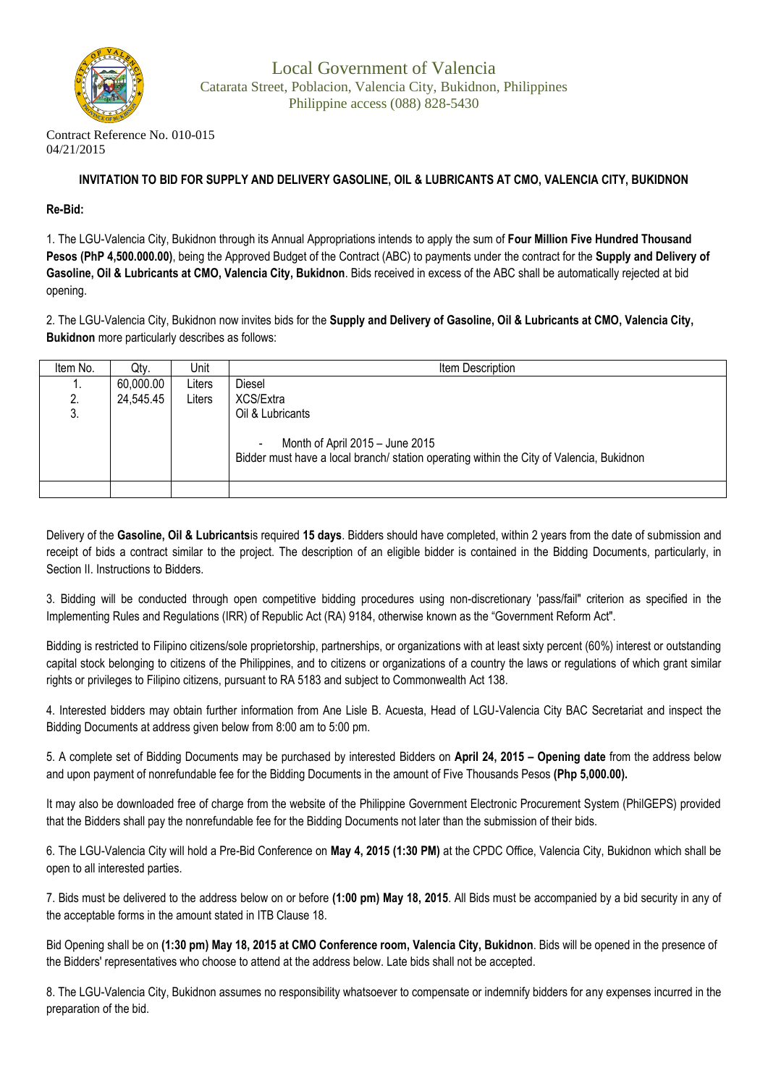

Contract Reference No. 010-015 04/21/2015

## **INVITATION TO BID FOR SUPPLY AND DELIVERY GASOLINE, OIL & LUBRICANTS AT CMO, VALENCIA CITY, BUKIDNON**

## **Re-Bid:**

1. The LGU-Valencia City, Bukidnon through its Annual Appropriations intends to apply the sum of **Four Million Five Hundred Thousand Pesos (PhP 4,500.000.00)**, being the Approved Budget of the Contract (ABC) to payments under the contract for the **Supply and Delivery of Gasoline, Oil & Lubricants at CMO, Valencia City, Bukidnon**. Bids received in excess of the ABC shall be automatically rejected at bid opening.

2. The LGU-Valencia City, Bukidnon now invites bids for the **Supply and Delivery of Gasoline, Oil & Lubricants at CMO, Valencia City, Bukidnon** more particularly describes as follows:

| Item No. | Qty.      | Unit   | Item Description                                                                                                            |
|----------|-----------|--------|-----------------------------------------------------------------------------------------------------------------------------|
| . .      | 60,000.00 | Liters | <b>Diesel</b>                                                                                                               |
| 2.       | 24,545.45 | Liters | XCS/Extra                                                                                                                   |
| ົ<br>J.  |           |        | Oil & Lubricants                                                                                                            |
|          |           |        | Month of April 2015 - June 2015<br>Bidder must have a local branch/ station operating within the City of Valencia, Bukidnon |
|          |           |        |                                                                                                                             |

Delivery of the **Gasoline, Oil & Lubricants**is required **15 days**. Bidders should have completed, within 2 years from the date of submission and receipt of bids a contract similar to the project. The description of an eligible bidder is contained in the Bidding Documents, particularly, in Section II. Instructions to Bidders.

3. Bidding will be conducted through open competitive bidding procedures using non-discretionary 'pass/fail" criterion as specified in the Implementing Rules and Regulations (IRR) of Republic Act (RA) 9184, otherwise known as the "Government Reform Act".

Bidding is restricted to Filipino citizens/sole proprietorship, partnerships, or organizations with at least sixty percent (60%) interest or outstanding capital stock belonging to citizens of the Philippines, and to citizens or organizations of a country the laws or regulations of which grant similar rights or privileges to Filipino citizens, pursuant to RA 5183 and subject to Commonwealth Act 138.

4. Interested bidders may obtain further information from Ane Lisle B. Acuesta, Head of LGU-Valencia City BAC Secretariat and inspect the Bidding Documents at address given below from 8:00 am to 5:00 pm.

5. A complete set of Bidding Documents may be purchased by interested Bidders on **April 24, 2015 – Opening date** from the address below and upon payment of nonrefundable fee for the Bidding Documents in the amount of Five Thousands Pesos **(Php 5,000.00).** 

It may also be downloaded free of charge from the website of the Philippine Government Electronic Procurement System (PhilGEPS) provided that the Bidders shall pay the nonrefundable fee for the Bidding Documents not later than the submission of their bids.

6. The LGU-Valencia City will hold a Pre-Bid Conference on **May 4, 2015 (1:30 PM)** at the CPDC Office, Valencia City, Bukidnon which shall be open to all interested parties.

7. Bids must be delivered to the address below on or before **(1:00 pm) May 18, 2015**. All Bids must be accompanied by a bid security in any of the acceptable forms in the amount stated in ITB Clause 18.

Bid Opening shall be on **(1:30 pm) May 18, 2015 at CMO Conference room, Valencia City, Bukidnon**. Bids will be opened in the presence of the Bidders' representatives who choose to attend at the address below. Late bids shall not be accepted.

8. The LGU-Valencia City, Bukidnon assumes no responsibility whatsoever to compensate or indemnify bidders for any expenses incurred in the preparation of the bid.